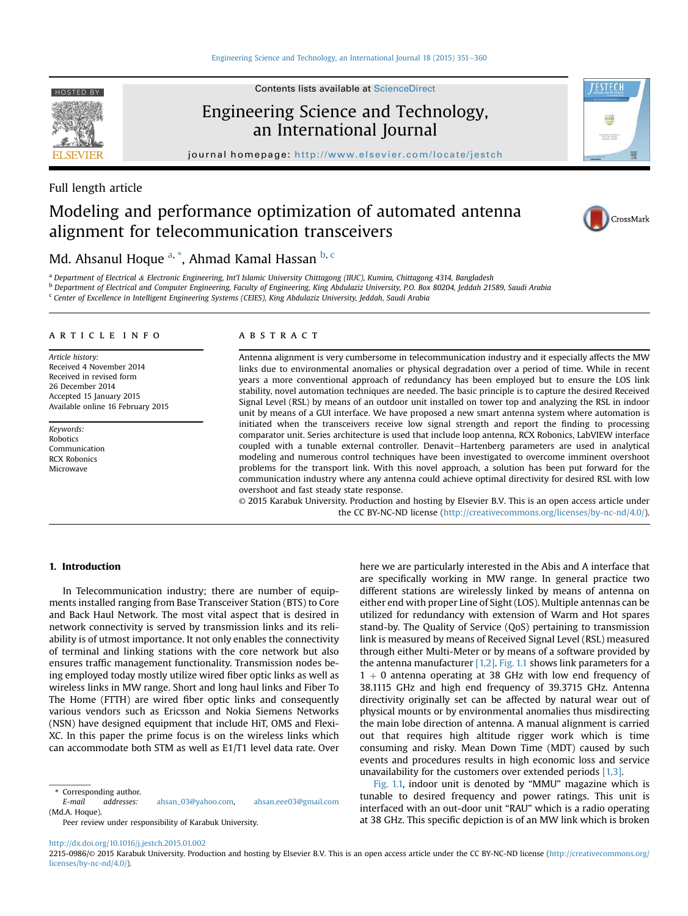#### [Engineering Science and Technology, an International Journal 18 \(2015\) 351](http://dx.doi.org/10.1016/j.jestch.2015.01.002)-[360](http://dx.doi.org/10.1016/j.jestch.2015.01.002)



HOSTED BY Contents lists available at [ScienceDirect](www.sciencedirect.com/science/journal/22150986)

# Engineering Science and Technology, an International Journal

journal homepage: <http://www.elsevier.com/locate/jestch>

# Full length article

# Modeling and performance optimization of automated antenna alignment for telecommunication transceivers



*FESTECH* 

Tellio ale

# Md. Ahsanul Hoque <sup>a, \*</sup>, Ahmad Kamal Hassan <sup>b, c</sup>

a Department of Electrical & Electronic Engineering, Int'l Islamic University Chittagong (IIUC), Kumira, Chittagong 4314, Bangladesh

<sup>b</sup> Department of Electrical and Computer Engineering, Faculty of Engineering, King Abdulaziz University, P.O. Box 80204, Jeddah 21589, Saudi Arabia

<sup>c</sup> Center of Excellence in Intelligent Engineering Systems (CEIES), King Abdulaziz University, Jeddah, Saudi Arabia

#### article info

Article history: Received 4 November 2014 Received in revised form 26 December 2014 Accepted 15 January 2015 Available online 16 February 2015

Keywords: Robotics Communication RCX Robonics Microwave

### **ABSTRACT**

Antenna alignment is very cumbersome in telecommunication industry and it especially affects the MW links due to environmental anomalies or physical degradation over a period of time. While in recent years a more conventional approach of redundancy has been employed but to ensure the LOS link stability, novel automation techniques are needed. The basic principle is to capture the desired Received Signal Level (RSL) by means of an outdoor unit installed on tower top and analyzing the RSL in indoor unit by means of a GUI interface. We have proposed a new smart antenna system where automation is initiated when the transceivers receive low signal strength and report the finding to processing comparator unit. Series architecture is used that include loop antenna, RCX Robonics, LabVIEW interface coupled with a tunable external controller. Denavit-Hartenberg parameters are used in analytical modeling and numerous control techniques have been investigated to overcome imminent overshoot problems for the transport link. With this novel approach, a solution has been put forward for the communication industry where any antenna could achieve optimal directivity for desired RSL with low overshoot and fast steady state response.

© 2015 Karabuk University. Production and hosting by Elsevier B.V. This is an open access article under the CC BY-NC-ND license [\(http://creativecommons.org/licenses/by-nc-nd/4.0/](http://creativecommons.org/licenses/by-nc-nd/4.0/)).

### 1. Introduction

In Telecommunication industry; there are number of equipments installed ranging from Base Transceiver Station (BTS) to Core and Back Haul Network. The most vital aspect that is desired in network connectivity is served by transmission links and its reliability is of utmost importance. It not only enables the connectivity of terminal and linking stations with the core network but also ensures traffic management functionality. Transmission nodes being employed today mostly utilize wired fiber optic links as well as wireless links in MW range. Short and long haul links and Fiber To The Home (FTTH) are wired fiber optic links and consequently various vendors such as Ericsson and Nokia Siemens Networks (NSN) have designed equipment that include HiT, OMS and Flexi-XC. In this paper the prime focus is on the wireless links which can accommodate both STM as well as E1/T1 level data rate. Over

E-mail addresses: [ahsan\\_03@yahoo.com](mailto:ahsan_03@yahoo.com), [ahsan.eee03@gmail.com](mailto:ahsan.eee03@gmail.com) (Md.A. Hoque).

Peer review under responsibility of Karabuk University.

here we are particularly interested in the Abis and A interface that are specifically working in MW range. In general practice two different stations are wirelessly linked by means of antenna on either end with proper Line of Sight (LOS). Multiple antennas can be utilized for redundancy with extension of Warm and Hot spares stand-by. The Quality of Service (QoS) pertaining to transmission link is measured by means of Received Signal Level (RSL) measured through either Multi-Meter or by means of a software provided by the antenna manufacturer  $[1,2]$ . [Fig. 1.1](#page-1-0) shows link parameters for a  $1 + 0$  antenna operating at 38 GHz with low end frequency of 38.1115 GHz and high end frequency of 39.3715 GHz. Antenna directivity originally set can be affected by natural wear out of physical mounts or by environmental anomalies thus misdirecting the main lobe direction of antenna. A manual alignment is carried out that requires high altitude rigger work which is time consuming and risky. Mean Down Time (MDT) caused by such events and procedures results in high economic loss and service unavailability for the customers over extended periods [\[1,3\]](#page-9-0).

[Fig. 1.1,](#page-1-0) indoor unit is denoted by "MMU" magazine which is tunable to desired frequency and power ratings. This unit is interfaced with an out-door unit "RAU" which is a radio operating at 38 GHz. This specific depiction is of an MW link which is broken

<http://dx.doi.org/10.1016/j.jestch.2015.01.002>

Corresponding author.

<sup>2215-0986/© 2015</sup> Karabuk University. Production and hosting by Elsevier B.V. This is an open access article under the CC BY-NC-ND license ([http://creativecommons.org/](http://creativecommons.org/licenses/by-nc-nd/4.0/) [licenses/by-nc-nd/4.0/\)](http://creativecommons.org/licenses/by-nc-nd/4.0/).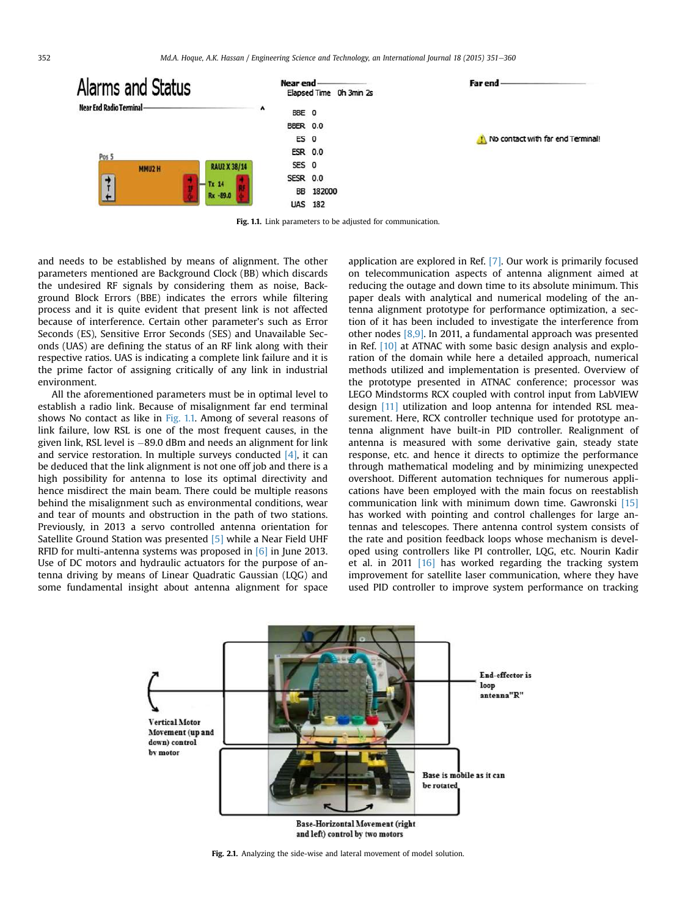<span id="page-1-0"></span>

Fig. 1.1. Link parameters to be adjusted for communication.

and needs to be established by means of alignment. The other parameters mentioned are Background Clock (BB) which discards the undesired RF signals by considering them as noise, Background Block Errors (BBE) indicates the errors while filtering process and it is quite evident that present link is not affected because of interference. Certain other parameter's such as Error Seconds (ES), Sensitive Error Seconds (SES) and Unavailable Seconds (UAS) are defining the status of an RF link along with their respective ratios. UAS is indicating a complete link failure and it is the prime factor of assigning critically of any link in industrial environment.

All the aforementioned parameters must be in optimal level to establish a radio link. Because of misalignment far end terminal shows No contact as like in Fig. 1.1. Among of several reasons of link failure, low RSL is one of the most frequent causes, in the given link, RSL level is -89.0 dBm and needs an alignment for link and service restoration. In multiple surveys conducted  $[4]$ , it can be deduced that the link alignment is not one off job and there is a high possibility for antenna to lose its optimal directivity and hence misdirect the main beam. There could be multiple reasons behind the misalignment such as environmental conditions, wear and tear of mounts and obstruction in the path of two stations. Previously, in 2013 a servo controlled antenna orientation for Satellite Ground Station was presented [\[5\]](#page-9-0) while a Near Field UHF RFID for multi-antenna systems was proposed in [\[6\]](#page-9-0) in June 2013. Use of DC motors and hydraulic actuators for the purpose of antenna driving by means of Linear Quadratic Gaussian (LQG) and some fundamental insight about antenna alignment for space

application are explored in Ref. [\[7\].](#page-9-0) Our work is primarily focused on telecommunication aspects of antenna alignment aimed at reducing the outage and down time to its absolute minimum. This paper deals with analytical and numerical modeling of the antenna alignment prototype for performance optimization, a section of it has been included to investigate the interference from other nodes [\[8,9\].](#page-9-0) In 2011, a fundamental approach was presented in Ref. [\[10\]](#page-9-0) at ATNAC with some basic design analysis and exploration of the domain while here a detailed approach, numerical methods utilized and implementation is presented. Overview of the prototype presented in ATNAC conference; processor was LEGO Mindstorms RCX coupled with control input from LabVIEW design [\[11\]](#page-9-0) utilization and loop antenna for intended RSL measurement. Here, RCX controller technique used for prototype antenna alignment have built-in PID controller. Realignment of antenna is measured with some derivative gain, steady state response, etc. and hence it directs to optimize the performance through mathematical modeling and by minimizing unexpected overshoot. Different automation techniques for numerous applications have been employed with the main focus on reestablish communication link with minimum down time. Gawronski [\[15\]](#page-9-0) has worked with pointing and control challenges for large antennas and telescopes. There antenna control system consists of the rate and position feedback loops whose mechanism is developed using controllers like PI controller, LQG, etc. Nourin Kadir et al. in 2011 [\[16\]](#page-9-0) has worked regarding the tracking system improvement for satellite laser communication, where they have used PID controller to improve system performance on tracking



Fig. 2.1. Analyzing the side-wise and lateral movement of model solution.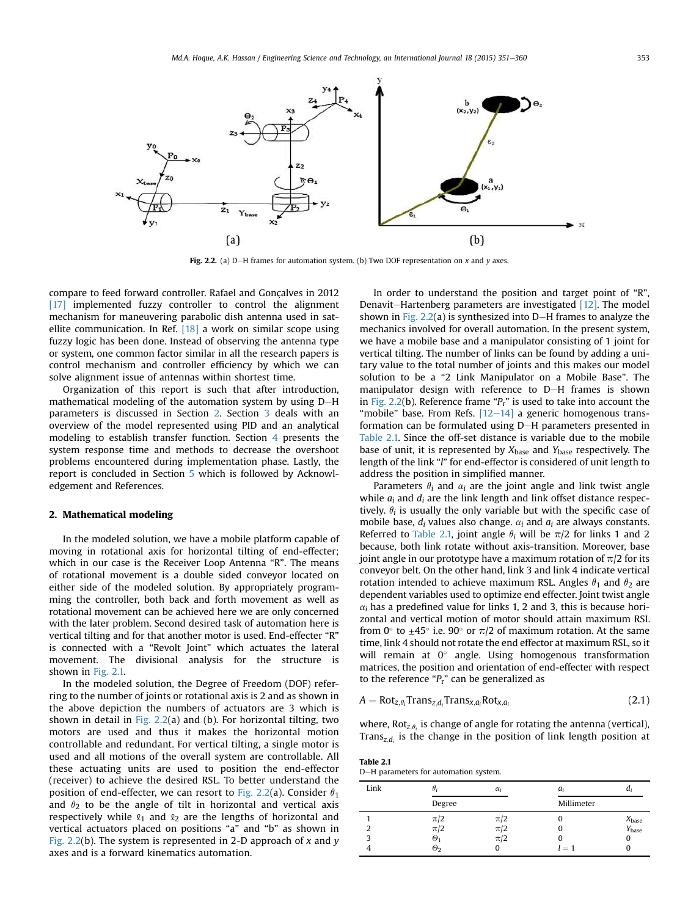<span id="page-2-0"></span>

Fig. 2.2. (a) D-H frames for automation system. (b) Two DOF representation on x and y axes.

compare to feed forward controller. Rafael and Gonçalves in 2012 [\[17\]](#page-9-0) implemented fuzzy controller to control the alignment mechanism for maneuvering parabolic dish antenna used in satellite communication. In Ref.  $[18]$  a work on similar scope using fuzzy logic has been done. Instead of observing the antenna type or system, one common factor similar in all the research papers is control mechanism and controller efficiency by which we can solve alignment issue of antennas within shortest time.

Organization of this report is such that after introduction, mathematical modeling of the automation system by using D-H parameters is discussed in Section 2. Section [3](#page-4-0) deals with an overview of the model represented using PID and an analytical modeling to establish transfer function. Section [4](#page-7-0) presents the system response time and methods to decrease the overshoot problems encountered during implementation phase. Lastly, the report is concluded in Section [5](#page-8-0) which is followed by Acknowledgement and References.

#### 2. Mathematical modeling

In the modeled solution, we have a mobile platform capable of moving in rotational axis for horizontal tilting of end-effecter; which in our case is the Receiver Loop Antenna "R". The means of rotational movement is a double sided conveyor located on either side of the modeled solution. By appropriately programming the controller, both back and forth movement as well as rotational movement can be achieved here we are only concerned with the later problem. Second desired task of automation here is vertical tilting and for that another motor is used. End-effecter "R" is connected with a "Revolt Joint" which actuates the lateral movement. The divisional analysis for the structure is shown in [Fig. 2.1.](#page-1-0)

In the modeled solution, the Degree of Freedom (DOF) referring to the number of joints or rotational axis is 2 and as shown in the above depiction the numbers of actuators are 3 which is shown in detail in Fig.  $2.2(a)$  and (b). For horizontal tilting, two motors are used and thus it makes the horizontal motion controllable and redundant. For vertical tilting, a single motor is used and all motions of the overall system are controllable. All these actuating units are used to position the end-effector (receiver) to achieve the desired RSL. To better understand the position of end-effecter, we can resort to Fig. 2.2(a). Consider  $\theta_1$ and  $\theta_2$  to be the angle of tilt in horizontal and vertical axis respectively while  $\ell_1$  and  $\ell_2$  are the lengths of horizontal and vertical actuators placed on positions "a" and "b" as shown in Fig. 2.2(b). The system is represented in 2-D approach of  $x$  and  $y$ axes and is a forward kinematics automation.

In order to understand the position and target point of "R", Denavit-Hartenberg parameters are investigated  $[12]$ . The model shown in Fig.  $2.2(a)$  is synthesized into D-H frames to analyze the mechanics involved for overall automation. In the present system, we have a mobile base and a manipulator consisting of 1 joint for vertical tilting. The number of links can be found by adding a unitary value to the total number of joints and this makes our model solution to be a "2 Link Manipulator on a Mobile Base". The manipulator design with reference to D-H frames is shown in Fig. 2.2(b). Reference frame " $P_r$ " is used to take into account the "mobile" base. From Refs.  $[12-14]$  $[12-14]$  $[12-14]$  a generic homogenous transformation can be formulated using D-H parameters presented in Table 2.1. Since the off-set distance is variable due to the mobile base of unit, it is represented by  $X_{base}$  and  $Y_{base}$  respectively. The length of the link "l" for end-effector is considered of unit length to address the position in simplified manner.

Parameters  $\theta_i$  and  $\alpha_i$  are the joint angle and link twist angle while  $a_i$  and  $d_i$  are the link length and link offset distance respectively.  $\theta_i$  is usually the only variable but with the specific case of mobile base,  $d_i$  values also change.  $\alpha_i$  and  $a_i$  are always constants. Referred to Table 2.1, joint angle  $\theta_i$  will be  $\pi/2$  for links 1 and 2 because, both link rotate without axis-transition. Moreover, base joint angle in our prototype have a maximum rotation of  $\pi/2$  for its conveyor belt. On the other hand, link 3 and link 4 indicate vertical rotation intended to achieve maximum RSL. Angles  $\theta_1$  and  $\theta_2$  are dependent variables used to optimize end effecter. Joint twist angle  $\alpha_i$  has a predefined value for links 1, 2 and 3, this is because horizontal and vertical motion of motor should attain maximum RSL from 0 $\degree$  to  $\pm$ 45 $\degree$  i.e. 90 $\degree$  or  $\pi/2$  of maximum rotation. At the same time, link 4 should not rotate the end effector at maximum RSL, so it will remain at  $0^\circ$  angle. Using homogenous transformation matrices, the position and orientation of end-effecter with respect to the reference " $P_r$ " can be generalized as

$$
A = Rot_{z,\theta_i}Trans_{z,d_i}Trans_{x,a_i}Rot_{x,a_i}
$$
 (2.1)

where,  $Rot_{z,\theta_i}$  is change of angle for rotating the antenna (vertical), Trans<sub>z,di</sub> is the change in the position of link length position at

Table 2.1

| D-H parameters for automation system. |
|---------------------------------------|
|                                       |

| Link |                         | $\alpha_i$ | a,         |                   |
|------|-------------------------|------------|------------|-------------------|
|      | Degree                  |            | Millimeter |                   |
|      | $\pi/2$                 | $\pi/2$    |            | $X_{base}$        |
| ำ    | $\pi/2$                 | $\pi/2$    |            | Y <sub>base</sub> |
| 3    | $\boldsymbol{\Theta}_1$ | $\pi/2$    |            |                   |
|      | $\Theta_2$              |            | $=1$       |                   |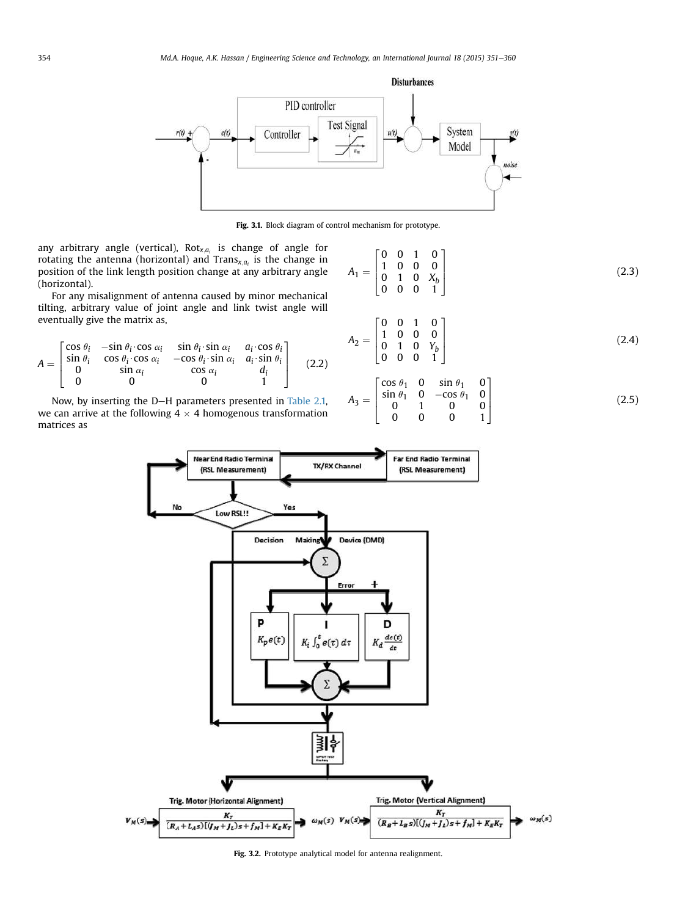<span id="page-3-0"></span>

Fig. 3.1. Block diagram of control mechanism for prototype.

any arbitrary angle (vertical),  $Rot_{x,a_i}$  is change of angle for rotating the antenna (horizontal) and Trans $x_i$ <sub>ai</sub> is the change in position of the link length position change at any arbitrary angle (horizontal).

For any misalignment of antenna caused by minor mechanical tilting, arbitrary value of joint angle and link twist angle will eventually give the matrix as,

$$
A = \begin{bmatrix} \cos \theta_i & -\sin \theta_i \cdot \cos \alpha_i & \sin \theta_i \cdot \sin \alpha_i & a_i \cdot \cos \theta_i \\ \sin \theta_i & \cos \theta_i \cdot \cos \alpha_i & -\cos \theta_i \cdot \sin \alpha_i & a_i \cdot \sin \theta_i \\ 0 & \sin \alpha_i & \cos \alpha_i & d_i \\ 0 & 0 & 0 & 1 \end{bmatrix} \tag{2.2}
$$

Now, by inserting the D-H parameters presented in [Table 2.1,](#page-2-0) we can arrive at the following 4  $\times$  4 homogenous transformation matrices as

$$
A_1 = \begin{bmatrix} 0 & 0 & 1 & 0 \\ 1 & 0 & 0 & 0 \\ 0 & 1 & 0 & X_b \\ 0 & 0 & 0 & 1 \end{bmatrix}
$$
 (2.3)

$$
A_2 = \begin{bmatrix} 0 & 0 & 1 & 0 \\ 1 & 0 & 0 & 0 \\ 0 & 1 & 0 & Y_b \\ 0 & 0 & 0 & 1 \end{bmatrix}
$$
 (2.4)

$$
A_3 = \begin{bmatrix} \cos \theta_1 & 0 & \sin \theta_1 & 0 \\ \sin \theta_1 & 0 & -\cos \theta_1 & 0 \\ 0 & 1 & 0 & 0 \\ 0 & 0 & 0 & 1 \end{bmatrix}
$$
 (2.5)



Fig. 3.2. Prototype analytical model for antenna realignment.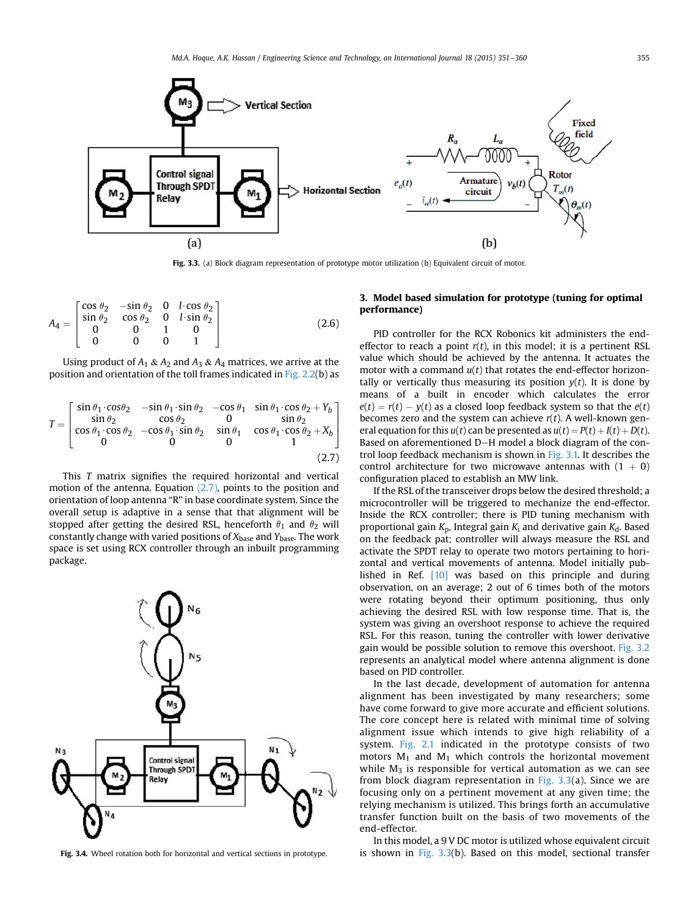<span id="page-4-0"></span>

Fig. 3.3. (a) Block diagram representation of prototype motor utilization (b) Equivalent circuit of motor.

$$
A_4 = \begin{bmatrix} \cos \theta_2 & -\sin \theta_2 & 0 & l \cdot \cos \theta_2 \\ \sin \theta_2 & \cos \theta_2 & 0 & l \cdot \sin \theta_2 \\ 0 & 0 & 1 & 0 \\ 0 & 0 & 0 & 1 \end{bmatrix}
$$
 (2.6)

Using product of  $A_1 \& A_2$  and  $A_3 \& A_4$  matrices, we arrive at the position and orientation of the toll frames indicated in [Fig. 2.2](#page-2-0)(b) as

$$
T = \begin{bmatrix} \sin \theta_1 \cdot \cos \theta_2 & -\sin \theta_1 \cdot \sin \theta_2 & -\cos \theta_1 & \sin \theta_1 \cdot \cos \theta_2 + Y_b \\ \sin \theta_2 & \cos \theta_2 & 0 & \sin \theta_2 \\ \cos \theta_1 \cdot \cos \theta_2 & -\cos \theta_1 \cdot \sin \theta_2 & \sin \theta_1 & \cos \theta_1 \cdot \cos \theta_2 + X_b \\ 0 & 0 & 0 & 1 \end{bmatrix}
$$
(2.7)

This T matrix signifies the required horizontal and vertical motion of the antenna. Equation (2.7), points to the position and orientation of loop antenna "R" in base coordinate system. Since the overall setup is adaptive in a sense that that alignment will be stopped after getting the desired RSL, henceforth  $\theta_1$  and  $\theta_2$  will constantly change with varied positions of  $X_{base}$  and  $Y_{base}$ . The work space is set using RCX controller through an inbuilt programming package.



Fig. 3.4. Wheel rotation both for horizontal and vertical sections in prototype.

# 3. Model based simulation for prototype (tuning for optimal performance)

PID controller for the RCX Robonics kit administers the endeffector to reach a point  $r(t)$ , in this model; it is a pertinent RSL value which should be achieved by the antenna. It actuates the motor with a command  $u(t)$  that rotates the end-effector horizontally or vertically thus measuring its position  $y(t)$ . It is done by means of a built in encoder which calculates the error  $e(t) = r(t) - y(t)$  as a closed loop feedback system so that the  $e(t)$ becomes zero and the system can achieve  $r(t)$ . A well-known general equation for this  $u(t)$  can be presented as  $u(t) = P(t) + I(t) + D(t)$ . Based on aforementioned D-H model a block diagram of the control loop feedback mechanism is shown in [Fig. 3.1.](#page-3-0) It describes the control architecture for two microwave antennas with  $(1 + 0)$ configuration placed to establish an MW link.

If the RSL of the transceiver drops below the desired threshold; a microcontroller will be triggered to mechanize the end-effector. Inside the RCX controller; there is PID tuning mechanism with proportional gain  $K_p$ , Integral gain  $K_i$  and derivative gain  $K_d$ . Based on the feedback pat; controller will always measure the RSL and activate the SPDT relay to operate two motors pertaining to horizontal and vertical movements of antenna. Model initially published in Ref. [\[10\]](#page-9-0) was based on this principle and during observation, on an average; 2 out of 6 times both of the motors were rotating beyond their optimum positioning, thus only achieving the desired RSL with low response time. That is, the system was giving an overshoot response to achieve the required RSL. For this reason, tuning the controller with lower derivative gain would be possible solution to remove this overshoot. [Fig. 3.2](#page-3-0) represents an analytical model where antenna alignment is done based on PID controller.

In the last decade, development of automation for antenna alignment has been investigated by many researchers; some have come forward to give more accurate and efficient solutions. The core concept here is related with minimal time of solving alignment issue which intends to give high reliability of a system. [Fig. 2.1](#page-1-0) indicated in the prototype consists of two motors  $M_1$  and  $M_1$  which controls the horizontal movement while  $M_3$  is responsible for vertical automation as we can see from block diagram representation in Fig.  $3.3(a)$ . Since we are focusing only on a pertinent movement at any given time; the relying mechanism is utilized. This brings forth an accumulative transfer function built on the basis of two movements of the end-effector.

In this model, a 9 V DC motor is utilized whose equivalent circuit is shown in Fig.  $3.3(b)$ . Based on this model, sectional transfer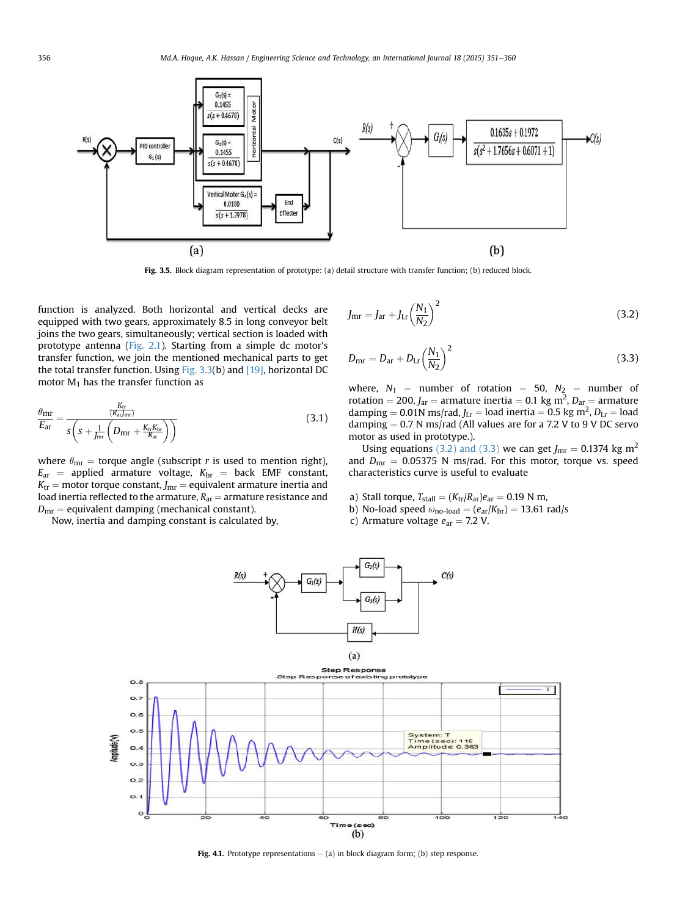<span id="page-5-0"></span>

Fig. 3.5. Block diagram representation of prototype: (a) detail structure with transfer function; (b) reduced block.

function is analyzed. Both horizontal and vertical decks are equipped with two gears, approximately 8.5 in long conveyor belt joins the two gears, simultaneously; vertical section is loaded with prototype antenna ([Fig. 2.1\)](#page-1-0). Starting from a simple dc motor's transfer function, we join the mentioned mechanical parts to get the total transfer function. Using [Fig. 3.3\(](#page-4-0)b) and [\[19\]](#page-9-0), horizontal DC motor  $M_1$  has the transfer function as

$$
\frac{\theta_{\text{mr}}}{E_{\text{ar}}} = \frac{\frac{K_{\text{tr}}}{(R_{\text{ar}}/_{\text{mr}})}}{s\left(s + \frac{1}{J_{\text{mr}}}\left(D_{\text{mr}} + \frac{K_{\text{tr}}K_{\text{br}}}{R_{\text{ar}}}\right)\right)}
$$
(3.1)

where  $\theta_{\rm mr}$  = torque angle (subscript r is used to mention right),  $E_{\text{ar}}$  = applied armature voltage,  $K_{\text{br}}$  = back EMF constant,  $K_{\text{tr}}$  = motor torque constant,  $J_{\text{mr}}$  = equivalent armature inertia and load inertia reflected to the armature,  $R_{ar}$  = armature resistance and  $D_{\rm mr}$  = equivalent damping (mechanical constant).

Now, inertia and damping constant is calculated by,

$$
J_{\rm mr} = J_{\rm ar} + J_{\rm Lr} \left(\frac{N_1}{N_2}\right)^2 \tag{3.2}
$$

$$
D_{\rm mr} = D_{\rm ar} + D_{\rm Lr} \left(\frac{N_1}{N_2}\right)^2 \tag{3.3}
$$

where,  $N_1$  = number of rotation = 50,  $N_2$  = number of rotation = 200,  $J_{\text{ar}}$  = armature inertia = 0.1 kg m<sup>2</sup>,  $D_{\text{ar}}$  = armature damping = 0.01N ms/rad,  $J_{\text{Lr}}$  = load inertia = 0.5 kg m<sup>2</sup>,  $D_{\text{Lr}}$  = load damping  $= 0.7$  N ms/rad (All values are for a 7.2 V to 9 V DC servo motor as used in prototype.).

Using equations (3.2) and (3.3) we can get  $J_{\rm mr} = 0.1374$  kg m<sup>2</sup> and  $D_{\text{mr}} = 0.05375$  N ms/rad. For this motor, torque vs. speed characteristics curve is useful to evaluate

- a) Stall torque,  $T_{\text{stall}} = (K_{\text{tr}}/R_{\text{ar}})e_{\text{ar}} = 0.19$  N m,
- b) No-load speed  $\omega_{\text{no-load}} = (e_{\text{ar}}/K_{\text{br}}) = 13.61 \text{ rad/s}$
- c) Armature voltage  $e_{\text{ar}} = 7.2$  V.



Fig. 4.1. Prototype representations  $-$  (a) in block diagram form; (b) step response.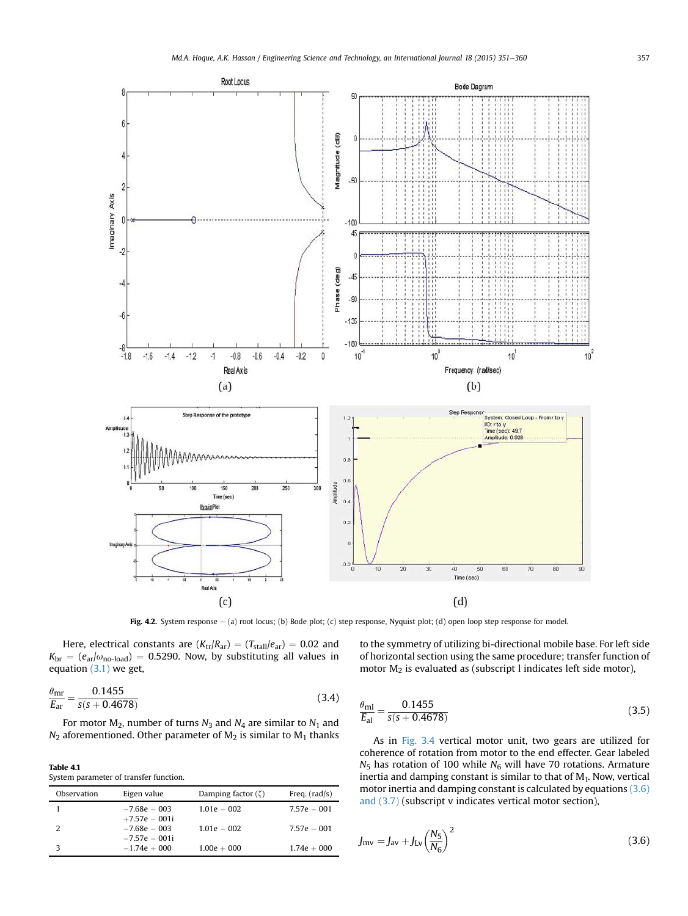<span id="page-6-0"></span>

Fig. 4.2. System response - (a) root locus; (b) Bode plot; (c) step response, Nyquist plot; (d) open loop step response for model.

Here, electrical constants are  $(K_{tr}/R_{ar}) = (T_{stall}/e_{ar}) = 0.02$  and  $K_{\text{br}} = (e_{\text{ar}}/\omega_{\text{no-load}}) = 0.5290$ . Now, by substituting all values in equation [\(3.1\)](#page-5-0) we get,

$$
\frac{\theta_{\text{mr}}}{E_{\text{ar}}} = \frac{0.1455}{s(s + 0.4678)}
$$
(3.4)

For motor  $M_2$ , number of turns  $N_3$  and  $N_4$  are similar to  $N_1$  and  $N_2$  aforementioned. Other parameter of  $M_2$  is similar to  $M_1$  thanks

Table 4.1 System parameter of transfer function.

| Observation | Eigen value     | Damping factor $(\zeta)$ | Freq. $(rad/s)$ |
|-------------|-----------------|--------------------------|-----------------|
|             | $-7.68e - 003$  | $1.01e - 002$            | $7.57e - 001$   |
|             | $+7.57e - 001i$ |                          |                 |
| 2           | $-7.68e - 003$  | $1.01e - 002$            | $7.57e - 001$   |
|             | $-7.57e - 001i$ |                          |                 |
|             | $-1.74e + 000$  | $1.00e + 000$            | $1.74e + 000$   |

to the symmetry of utilizing bi-directional mobile base. For left side of horizontal section using the same procedure; transfer function of motor M2 is evaluated as (subscript l indicates left side motor),

$$
\frac{\theta_{\rm ml}}{E_{\rm al}} = \frac{0.1455}{s(s + 0.4678)}
$$
\n(3.5)

As in [Fig. 3.4](#page-4-0) vertical motor unit, two gears are utilized for coherence of rotation from motor to the end effecter. Gear labeled  $N_5$  has rotation of 100 while  $N_6$  will have 70 rotations. Armature inertia and damping constant is similar to that of  $M_1$ . Now, vertical motor inertia and damping constant is calculated by equations (3.6) and (3.7) (subscript v indicates vertical motor section),

$$
J_{\rm mv} = J_{\rm av} + J_{\rm Lv} \left(\frac{N_5}{N_6}\right)^2 \tag{3.6}
$$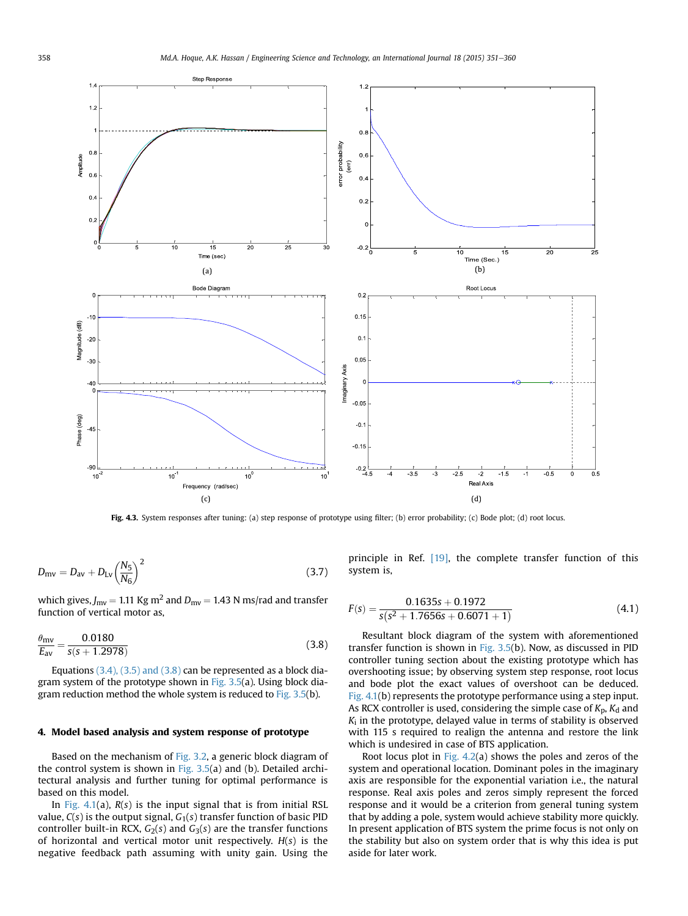<span id="page-7-0"></span>

Fig. 4.3. System responses after tuning: (a) step response of prototype using filter; (b) error probability; (c) Bode plot; (d) root locus.

$$
D_{\rm mv} = D_{\rm av} + D_{\rm Lv} \left(\frac{N_5}{N_6}\right)^2 \tag{3.7}
$$

which gives,  $J_{\text{mv}} = 1.11 \text{ Kg m}^2$  and  $D_{\text{mv}} = 1.43 \text{ N ms/rad}$  and transfer function of vertical motor as,

$$
\frac{\theta_{\rm mv}}{E_{\rm av}} = \frac{0.0180}{s(s + 1.2978)}
$$
(3.8)

Equations [\(3.4\), \(3.5\) and \(3.8\)](#page-6-0) can be represented as a block diagram system of the prototype shown in Fig.  $3.5(a)$ . Using block dia-gram reduction method the whole system is reduced to [Fig. 3.5](#page-5-0)(b).

# 4. Model based analysis and system response of prototype

Based on the mechanism of [Fig. 3.2,](#page-3-0) a generic block diagram of the control system is shown in [Fig. 3.5\(](#page-5-0)a) and (b). Detailed architectural analysis and further tuning for optimal performance is based on this model.

In [Fig. 4.1\(](#page-5-0)a),  $R(s)$  is the input signal that is from initial RSL value,  $C(s)$  is the output signal,  $G_1(s)$  transfer function of basic PID controller built-in RCX,  $G_2(s)$  and  $G_3(s)$  are the transfer functions of horizontal and vertical motor unit respectively.  $H(s)$  is the negative feedback path assuming with unity gain. Using the

principle in Ref. [\[19\]](#page-9-0), the complete transfer function of this system is,

$$
F(s) = \frac{0.1635s + 0.1972}{s(s^2 + 1.7656s + 0.6071 + 1)}
$$
(4.1)

Resultant block diagram of the system with aforementioned transfer function is shown in [Fig. 3.5\(](#page-5-0)b). Now, as discussed in PID controller tuning section about the existing prototype which has overshooting issue; by observing system step response, root locus and bode plot the exact values of overshoot can be deduced. [Fig. 4.1](#page-5-0)(b) represents the prototype performance using a step input. As RCX controller is used, considering the simple case of  $K_p$ ,  $K_d$  and  $K_i$  in the prototype, delayed value in terms of stability is observed with 115 s required to realign the antenna and restore the link which is undesired in case of BTS application.

Root locus plot in Fig.  $4.2(a)$  shows the poles and zeros of the system and operational location. Dominant poles in the imaginary axis are responsible for the exponential variation i.e., the natural response. Real axis poles and zeros simply represent the forced response and it would be a criterion from general tuning system that by adding a pole, system would achieve stability more quickly. In present application of BTS system the prime focus is not only on the stability but also on system order that is why this idea is put aside for later work.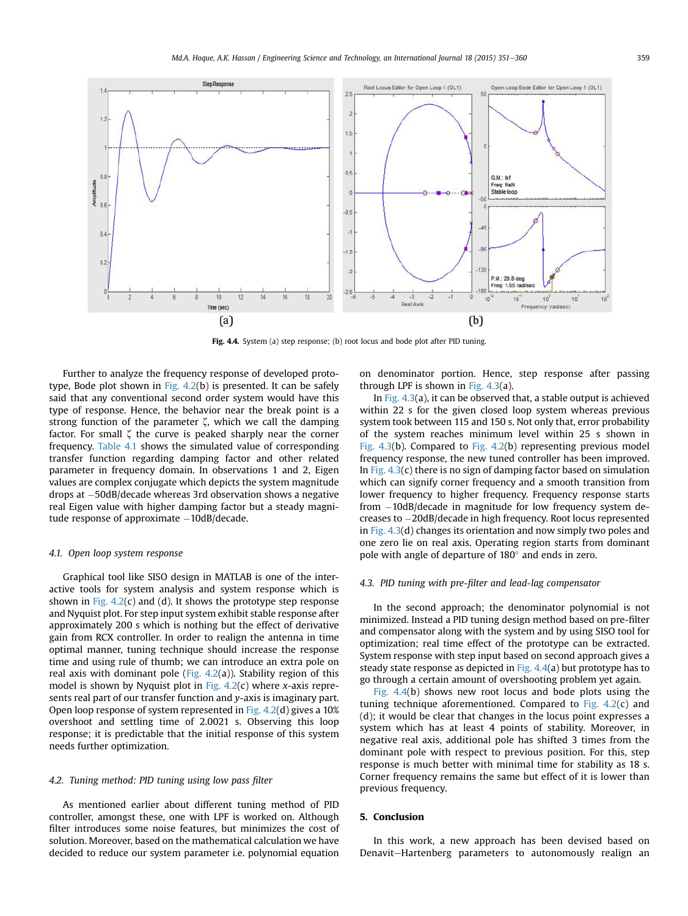<span id="page-8-0"></span>

Fig. 4.4. System (a) step response; (b) root locus and bode plot after PID tuning.

Further to analyze the frequency response of developed prototype, Bode plot shown in [Fig. 4.2\(](#page-6-0)b) is presented. It can be safely said that any conventional second order system would have this type of response. Hence, the behavior near the break point is a strong function of the parameter  $\zeta$ , which we call the damping factor. For small  $\zeta$  the curve is peaked sharply near the corner frequency. [Table 4.1](#page-6-0) shows the simulated value of corresponding transfer function regarding damping factor and other related parameter in frequency domain. In observations 1 and 2, Eigen values are complex conjugate which depicts the system magnitude drops at -50dB/decade whereas 3rd observation shows a negative real Eigen value with higher damping factor but a steady magnitude response of approximate  $-10$ dB/decade.

### 4.1. Open loop system response

Graphical tool like SISO design in MATLAB is one of the interactive tools for system analysis and system response which is shown in Fig.  $4.2(c)$  and (d). It shows the prototype step response and Nyquist plot. For step input system exhibit stable response after approximately 200 s which is nothing but the effect of derivative gain from RCX controller. In order to realign the antenna in time optimal manner, tuning technique should increase the response time and using rule of thumb; we can introduce an extra pole on real axis with dominant pole (Fig.  $4.2(a)$ ). Stability region of this model is shown by Nyquist plot in Fig.  $4.2(c)$  where x-axis represents real part of our transfer function and y-axis is imaginary part. Open loop response of system represented in [Fig. 4.2](#page-6-0)(d) gives a 10% overshoot and settling time of 2.0021 s. Observing this loop response; it is predictable that the initial response of this system needs further optimization.

### 4.2. Tuning method: PID tuning using low pass filter

As mentioned earlier about different tuning method of PID controller, amongst these, one with LPF is worked on. Although filter introduces some noise features, but minimizes the cost of solution. Moreover, based on the mathematical calculation we have decided to reduce our system parameter i.e. polynomial equation

on denominator portion. Hence, step response after passing through LPF is shown in [Fig. 4.3\(](#page-7-0)a).

In [Fig. 4.3](#page-7-0)(a), it can be observed that, a stable output is achieved within 22 s for the given closed loop system whereas previous system took between 115 and 150 s. Not only that, error probability of the system reaches minimum level within 25 s shown in [Fig. 4.3](#page-7-0)(b). Compared to [Fig. 4.2\(](#page-6-0)b) representing previous model frequency response, the new tuned controller has been improved. In Fig.  $4.3(c)$  there is no sign of damping factor based on simulation which can signify corner frequency and a smooth transition from lower frequency to higher frequency. Frequency response starts from -10dB/decade in magnitude for low frequency system decreases to -20dB/decade in high frequency. Root locus represented in [Fig. 4.3](#page-7-0)(d) changes its orientation and now simply two poles and one zero lie on real axis. Operating region starts from dominant pole with angle of departure of  $180^\circ$  and ends in zero.

# 4.3. PID tuning with pre-filter and lead-lag compensator

In the second approach; the denominator polynomial is not minimized. Instead a PID tuning design method based on pre-filter and compensator along with the system and by using SISO tool for optimization; real time effect of the prototype can be extracted. System response with step input based on second approach gives a steady state response as depicted in Fig.  $4.4$ (a) but prototype has to go through a certain amount of overshooting problem yet again.

Fig. 4.4(b) shows new root locus and bode plots using the tuning technique aforementioned. Compared to Fig.  $4.2(c)$  and (d); it would be clear that changes in the locus point expresses a system which has at least 4 points of stability. Moreover, in negative real axis, additional pole has shifted 3 times from the dominant pole with respect to previous position. For this, step response is much better with minimal time for stability as 18 s. Corner frequency remains the same but effect of it is lower than previous frequency.

# 5. Conclusion

In this work, a new approach has been devised based on Denavit-Hartenberg parameters to autonomously realign an